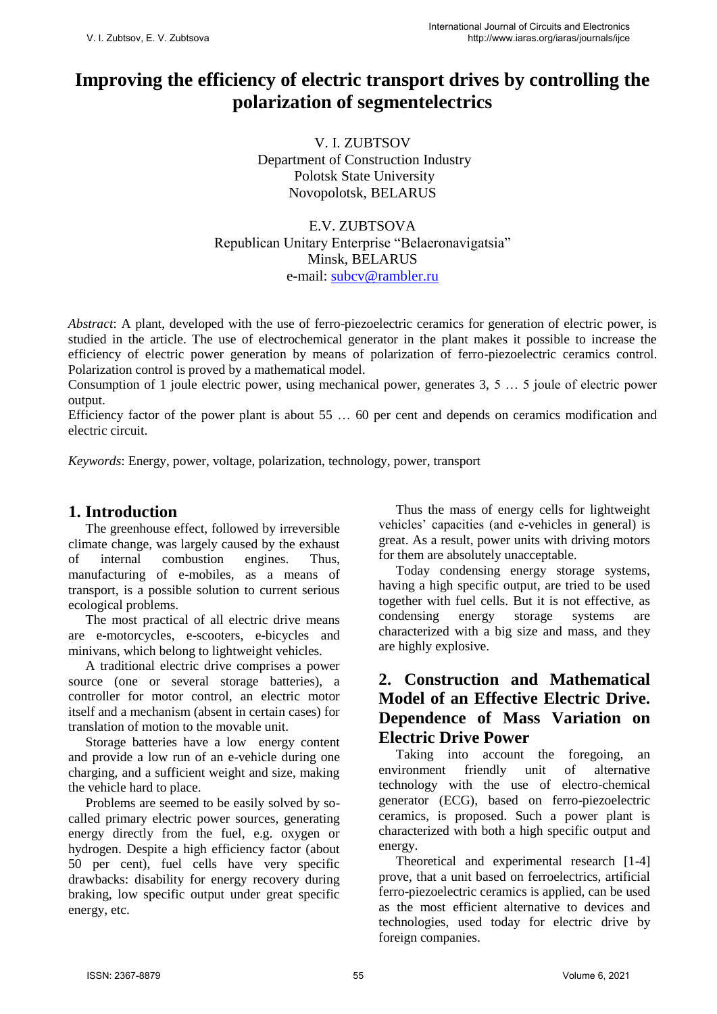# **Improving the efficiency of electric transport drives by controlling the polarization of segmentelectrics**

V. I. ZUBTSOV Department of Construction Industry Polotsk State University Novopolotsk, BELARUS

Е.V. ZUBTSOVA Republican Unitary Enterprise "Belaeronavigatsia" Minsk, BELARUS e-mail: [subcv@rambler.ru](mailto:subcv@rambler.ru) 

*Abstract*: A plant, developed with the use of ferro-piezoelectric ceramics for generation of electric power, is studied in the article. The use of electrochemical generator in the plant makes it possible to increase the efficiency of electric power generation by means of polarization of ferro-piezoelectric ceramics control. Polarization control is proved by a mathematical model.

Consumption of 1 joule electric power, using mechanical power, generates 3, 5 … 5 joule of electric power output.

Efficiency factor of the power plant is about 55 … 60 per cent and depends on ceramics modification and electric circuit.

*Keywords*: Energy, power, voltage, polarization, technology, power, transport

### **1. Introduction**

The greenhouse effect, followed by irreversible climate change, was largely caused by the exhaust of internal combustion engines. Thus, manufacturing of e-mobiles, as a means of transport, is a possible solution to current serious ecological problems.

The most practical of all electric drive means are e-motorcycles, e-scooters, e-bicycles and minivans, which belong to lightweight vehicles.

A traditional electric drive comprises a power source (one or several storage batteries), a controller for motor control, an electric motor itself and a mechanism (absent in certain cases) for translation of motion to the movable unit.

Storage batteries have a low energy content and provide a low run of an e-vehicle during one charging, and a sufficient weight and size, making the vehicle hard to place.

Problems are seemed to be easily solved by socalled primary electric power sources, generating energy directly from the fuel, e.g. oxygen or hydrogen. Despite a high efficiency factor (about 50 per cent), fuel cells have very specific drawbacks: disability for energy recovery during braking, low specific output under great specific energy, etc.

Thus the mass of energy cells for lightweight vehicles' capacities (and e-vehicles in general) is great. As a result, power units with driving motors for them are absolutely unacceptable.

Today condensing energy storage systems, having a high specific output, are tried to be used together with fuel cells. But it is not effective, as condensing energy storage systems are characterized with a big size and mass, and they are highly explosive.

# **2. Construction and Mathematical Model of an Effective Electric Drive. Dependence of Mass Variation on Electric Drive Power**

Taking into account the foregoing, an environment friendly unit of alternative technology with the use of electro-chemical generator (ECG), based on ferro-piezoelectric ceramics, is proposed. Such a power plant is characterized with both a high specific output and energy.

Theoretical and experimental research [1-4] prove, that a unit based on ferroelectrics, artificial ferro-piezoelectric ceramics is applied, can be used as the most efficient alternative to devices and technologies, used today for electric drive by foreign companies.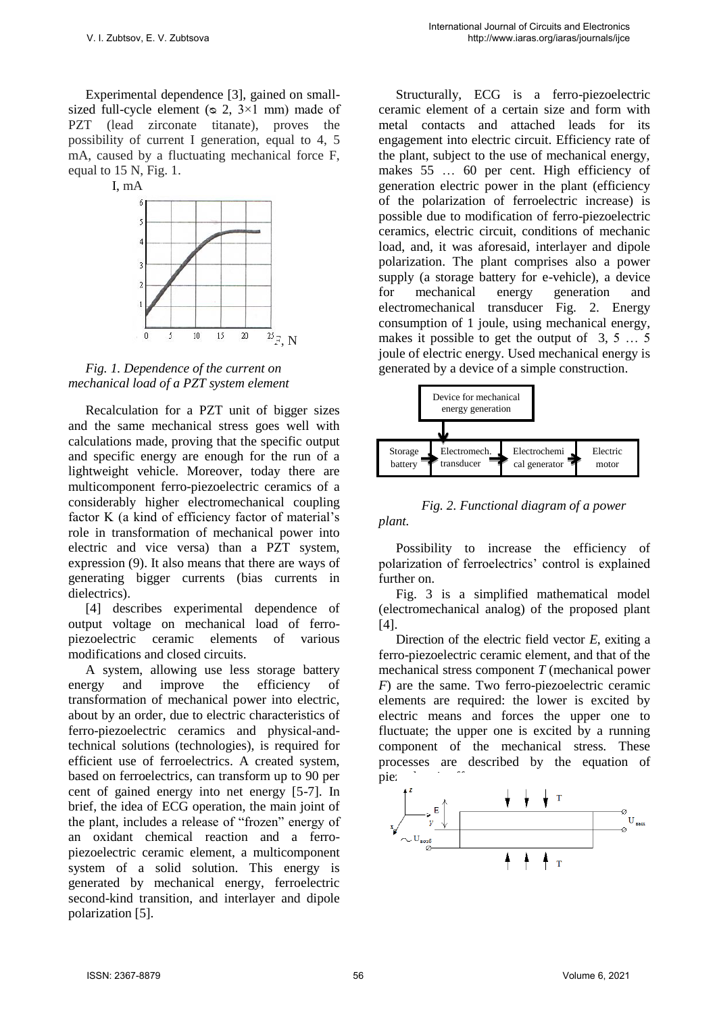Experimental dependence [3], gained on smallsized full-cycle element ( $\infty$  2, 3×1 mm) made of PZT (lead zirconate titanate), proves the possibility of current I generation, equal to 4, 5 mA, caused by a fluctuating mechanical force F, equal to 15 N, Fig. 1.



*Fig. 1. Dependence of the current on mechanical load of a PZT system element*

Recalculation for a PZT unit of bigger sizes and the same mechanical stress goes well with calculations made, proving that the specific output and specific energy are enough for the run of a lightweight vehicle. Moreover, today there are multicomponent ferro-piezoelectric ceramics of a considerably higher electromechanical coupling factor K (a kind of efficiency factor of material's role in transformation of mechanical power into electric and vice versa) than a PZT system, expression (9). It also means that there are ways of generating bigger currents (bias currents in dielectrics).

[4] describes experimental dependence of output voltage on mechanical load of ferropiezoelectric ceramic elements of various modifications and closed circuits.

A system, allowing use less storage battery energy and improve the efficiency of transformation of mechanical power into electric, about by an order, due to electric characteristics of ferro-piezoelectric ceramics and physical-andtechnical solutions (technologies), is required for efficient use of ferroelectrics. A created system, based on ferroelectrics, can transform up to 90 per cent of gained energy into net energy [5-7]. In brief, the idea of ECG operation, the main joint of the plant, includes a release of "frozen" energy of an oxidant chemical reaction and a ferropiezoelectric ceramic element, a multicomponent system of a solid solution. This energy is generated by mechanical energy, ferroelectric second-kind transition, and interlayer and dipole polarization [5].

Structurally, ECG is a ferro-piezoelectric ceramic element of a certain size and form with metal contacts and attached leads for its engagement into electric circuit. Efficiency rate of the plant, subject to the use of mechanical energy, makes 55 … 60 per cent. High efficiency of generation electric power in the plant (efficiency of the polarization of ferroelectric increase) is possible due to modification of ferro-piezoelectric ceramics, electric circuit, conditions of mechanic load, and, it was aforesaid, interlayer and dipole polarization. The plant comprises also a power supply (a storage battery for e-vehicle), a device for mechanical energy generation and electromechanical transducer Fig. 2. Energy consumption of 1 joule, using mechanical energy, makes it possible to get the output of 3, 5 … 5 joule of electric energy. Used mechanical energy is generated by a device of a simple construction.



#### *Fig. 2. Functional diagram of a power plant.*

Possibility to increase the efficiency of polarization of ferroelectrics' control is explained further on.

Fig. 3 is a simplified mathematical model (electromechanical analog) of the proposed plant [4].

Direction of the electric field vector *E*, exiting a ferro-piezoelectric ceramic element, and that of the mechanical stress component *T* (mechanical power *F*) are the same. Two ferro-piezoelectric ceramic elements are required: the lower is excited by electric means and forces the upper one to fluctuate; the upper one is excited by a running component of the mechanical stress. These processes are described by the equation of piez

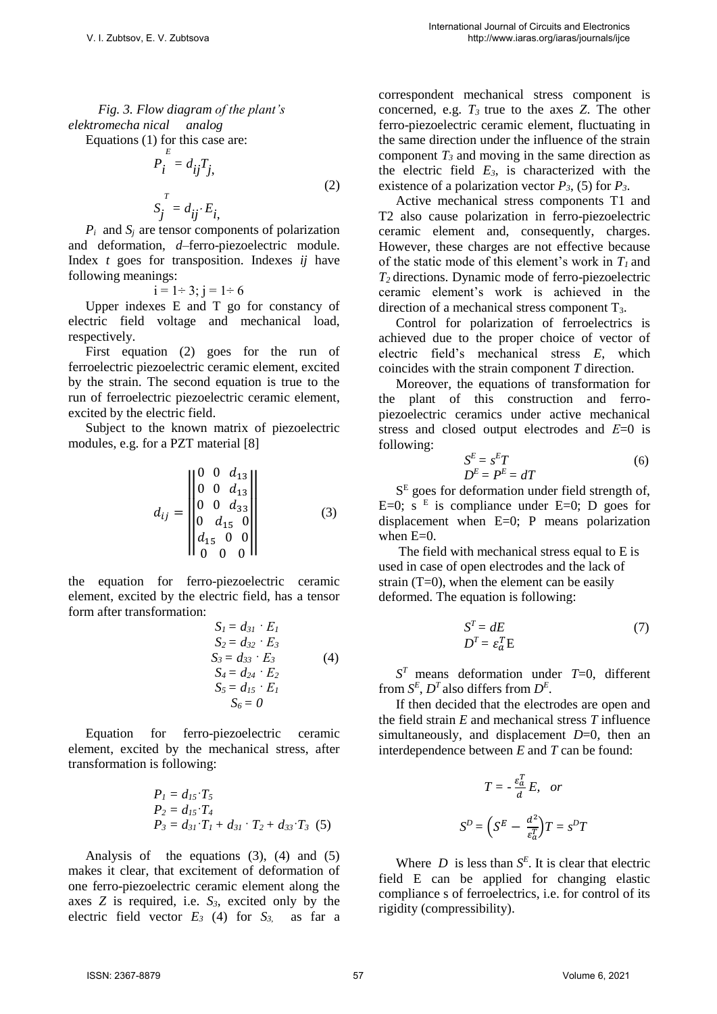*Fig. 3. Flow diagram of the plant's elektromecha nical analog* 

Equations (1) for this case are:

$$
P_i^E = d_{ij} T_j,
$$
  
\n
$$
S_j^T = d_{ij} \cdot E_i,
$$
\n(2)

 $P_i$  and  $S_i$  are tensor components of polarization and deformation, *d*–ferro-piezoelectric module. Index *t* goes for transposition. Indexes *ij* have following meanings:

$$
i = 1 \div 3
$$
;  $j = 1 \div 6$ 

Upper indexes E and T go for constancy of electric field voltage and mechanical load, respectively.

First equation (2) goes for the run of ferroelectric piezoelectric ceramic element, excited by the strain. The second equation is true to the run of ferroelectric piezoelectric ceramic element, excited by the electric field.

Subject to the known matrix of piezoelectric modules, e.g. for a PZT material [8]

$$
d_{ij} = \begin{vmatrix} 0 & 0 & d_{13} \\ 0 & 0 & d_{13} \\ 0 & 0 & d_{33} \\ 0 & d_{15} & 0 \\ d_{15} & 0 & 0 \\ 0 & 0 & 0 \end{vmatrix}
$$
 (3)

the equation for ferro-piezoelectric ceramic element, excited by the electric field, has a tensor form after transformation:

$$
SI = d31 \cdot EI\nS2 = d32 \cdot E3\nS3 = d33 \cdot E3 (4)\nS4 = d24 \cdot E2\nS5 = d15 \cdot EI\nS6 = 0
$$

Equation for ferro-piezoelectric ceramic element, excited by the mechanical stress, after transformation is following:

$$
P_1 = d_{15} \cdot T_5
$$
  
\n
$$
P_2 = d_{15} \cdot T_4
$$
  
\n
$$
P_3 = d_{31} \cdot T_1 + d_{31} \cdot T_2 + d_{33} \cdot T_3
$$
 (5)

Analysis of the equations  $(3)$ ,  $(4)$  and  $(5)$ makes it clear, that excitement of deformation of one ferro-piezoelectric ceramic element along the axes *Z* is required, i.e. *S3*, excited only by the electric field vector  $E_3$  (4) for  $S_3$  as far a correspondent mechanical stress component is concerned, e.g. *T<sup>3</sup>* true to the axes *Z*. The other ferro-piezoelectric ceramic element, fluctuating in the same direction under the influence of the strain component *T3* and moving in the same direction as the electric field  $E_3$ , is characterized with the existence of a polarization vector  $P_3$ , (5) for  $P_3$ .

Active mechanical stress components T1 and T2 also cause polarization in ferro-piezoelectric ceramic element and, consequently, charges. However, these charges are not effective because of the static mode of this element's work in *T<sup>1</sup>* and *T<sup>2</sup>* directions. Dynamic mode of ferro-piezoelectric ceramic element's work is achieved in the direction of a mechanical stress component  $T_3$ .

Control for polarization of ferroelectrics is achieved due to the proper choice of vector of electric field's mechanical stress *E*, which coincides with the strain component *T* direction.

Moreover, the equations of transformation for the plant of this construction and ferropiezoelectric ceramics under active mechanical stress and closed output electrodes and *Е*=0 is following:

$$
S^{E} = s^{E}T
$$

$$
D^{E} = P^{E} = dT
$$
 (6)

S<sup>E</sup> goes for deformation under field strength of, E=0; s<sup>E</sup> is compliance under E=0; D goes for displacement when E=0; P means polarization when E=0.

 The field with mechanical stress equal to E is used in case of open electrodes and the lack of strain  $(T=0)$ , when the element can be easily deformed. The equation is following:

$$
S^T = dE
$$

$$
D^T = \varepsilon_a^T E
$$
 (7)

 $S<sup>T</sup>$  means deformation under *T*=0, different from  $S^E$ ,  $D^T$  also differs from  $D^E$ .

If then decided that the electrodes are open and the field strain *E* and mechanical stress *T* influence simultaneously, and displacement *D*=0, then an interdependence between *E* and *T* can be found:

$$
T = -\frac{\varepsilon_a^T}{d} E, \quad or
$$

$$
S^D = \left( S^E - \frac{d^2}{\varepsilon_a^T} \right) T = s^D T
$$

Where  $D$  is less than  $S<sup>E</sup>$ . It is clear that electric field E can be applied for changing elastic compliance s of ferroelectrics, i.e. for control of its rigidity (compressibility).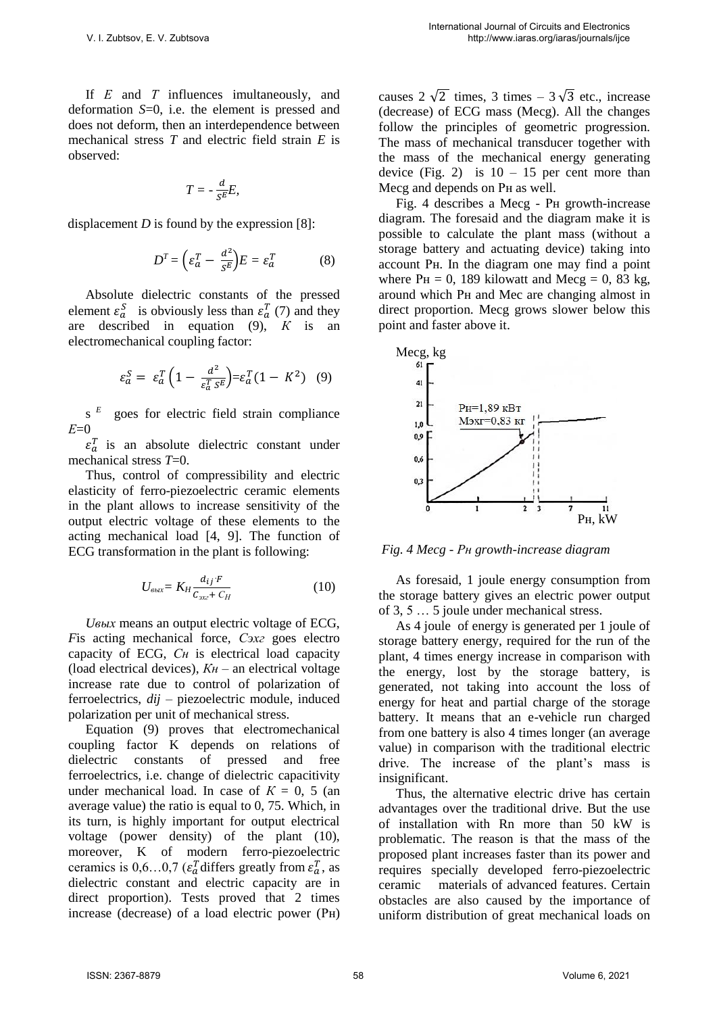If *Е* and *Т* influences imultaneously, and deformation *S*=0, i.e. the element is pressed and does not deform, then an interdependence between mechanical stress *T* and electric field strain *E* is observed:

$$
T=-\frac{d}{s^E}E,
$$

displacement *D* is found by the expression [8]:

$$
D^T = \left(\varepsilon_a^T - \frac{d^2}{s^E}\right)E = \varepsilon_a^T \tag{8}
$$

Absolute dielectric constants of the pressed element  $\varepsilon_a^S$  is obviously less than  $\varepsilon_a^T$  (7) and they are described in equation (9), *К* is an electromechanical coupling factor:

$$
\varepsilon_a^S = \varepsilon_a^T \left( 1 - \frac{d^2}{\varepsilon_a^T s^E} \right) = \varepsilon_a^T (1 - K^2) \quad (9)
$$

s  *E* goes for electric field strain compliance *Е*=0

 $\varepsilon_a^T$  is an absolute dielectric constant under mechanical stress *T*=0.

Thus, control of compressibility and electric elasticity of ferro-piezoelectric ceramic elements in the plant allows to increase sensitivity of the output electric voltage of these elements to the acting mechanical load [4, 9]. The function of ECG transformation in the plant is following:

$$
U_{\text{bbox}} = K_H \frac{d_{ij} \cdot F}{C_{\text{ax}} + C_H} \tag{10}
$$

*Uвых* means an output electric voltage of ECG, *F*is acting mechanical force, *Сэхг* goes electro capacity of ECG, *Сн* is electrical load capacity (load electrical devices), *Кн* – an electrical voltage increase rate due to control of polarization of ferroelectrics, *dij* – piezoelectric module, induced polarization per unit of mechanical stress.

Equation (9) proves that electromechanical coupling factor K depends on relations of dielectric constants of pressed and free ferroelectrics, i.e. change of dielectric capacitivity under mechanical load. In case of  $K = 0$ , 5 (an average value) the ratio is equal to 0, 75. Which, in its turn, is highly important for output electrical voltage (power density) of the plant (10), moreover, K of modern ferro-piezoelectric ceramics is  $0, 6...0, 7$  ( $\varepsilon_a^T$  differs greatly from  $\varepsilon_a^T$ , as dielectric constant and electric capacity are in direct proportion). Tests proved that 2 times increase (decrease) of a load electric power (Рн)

causes  $2\sqrt{2}$  times, 3 times –  $3\sqrt{3}$  etc., increase (decrease) of ECG mass (Mecg). All the changes follow the principles of geometric progression. The mass of mechanical transducer together with the mass of the mechanical energy generating device (Fig. 2) is  $10 - 15$  per cent more than Mecg and depends on Рн as well.

Fig. 4 describes a Mecg - Рн growth-increase diagram. The foresaid and the diagram make it is possible to calculate the plant mass (without a storage battery and actuating device) taking into account Рн. In the diagram one may find a point where  $P_H = 0$ , 189 kilowatt and Mecg = 0, 83 kg, around which Рн and Mec are changing almost in direct proportion. Mecg grows slower below this point and faster above it.



 *Fig. 4 Mecg - Рн growth-increase diagram*

As foresaid, 1 joule energy consumption from the storage battery gives an electric power output of 3, 5 … 5 joule under mechanical stress.

As 4 joule of energy is generated per 1 joule of storage battery energy, required for the run of the plant, 4 times energy increase in comparison with the energy, lost by the storage battery, is generated, not taking into account the loss of energy for heat and partial charge of the storage battery. It means that an e-vehicle run charged from one battery is also 4 times longer (an average value) in comparison with the traditional electric drive. The increase of the plant's mass is insignificant.

Thus, the alternative electric drive has certain advantages over the traditional drive. But the use of installation with Rn more than 50 kW is problematic. The reason is that the mass of the proposed plant increases faster than its power and requires specially developed ferro-piezoelectric ceramic materials of advanced features. Certain obstacles are also caused by the importance of uniform distribution of great mechanical loads on